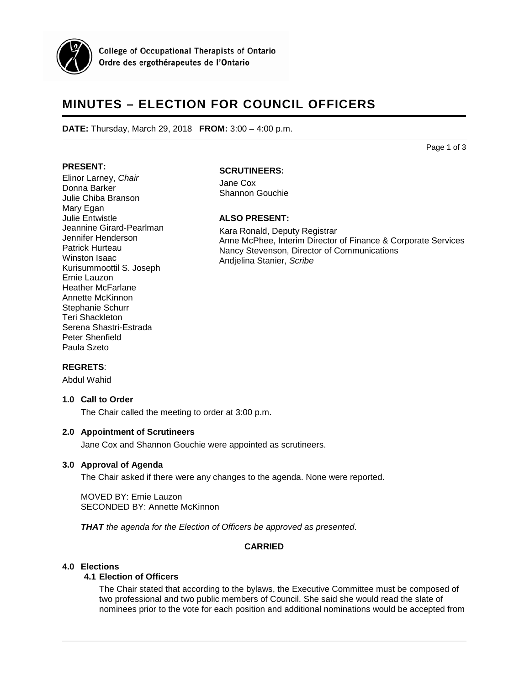

**College of Occupational Therapists of Ontario** Ordre des ergothérapeutes de l'Ontario

# **MINUTES – ELECTION FOR COUNCIL OFFICERS**

**DATE:** Thursday, March 29, 2018 **FROM:** 3:00 – 4:00 p.m.

Page 1 of 3

# **PRESENT:**

Elinor Larney, *Chair* Donna Barker Julie Chiba Branson Mary Egan Julie Entwistle Jeannine Girard-Pearlman Jennifer Henderson Patrick Hurteau Winston Isaac Kurisummoottil S. Joseph Ernie Lauzon Heather McFarlane Annette McKinnon Stephanie Schurr Teri Shackleton Serena Shastri-Estrada Peter Shenfield Paula Szeto

# **SCRUTINEERS:**

Jane Cox Shannon Gouchie

#### **ALSO PRESENT:**

Kara Ronald, Deputy Registrar Anne McPhee, Interim Director of Finance & Corporate Services Nancy Stevenson, Director of Communications Andjelina Stanier, *Scribe*

## **REGRETS**:

Abdul Wahid

#### **1.0 Call to Order**

The Chair called the meeting to order at 3:00 p.m.

## **2.0 Appointment of Scrutineers**

Jane Cox and Shannon Gouchie were appointed as scrutineers.

#### **3.0 Approval of Agenda**

The Chair asked if there were any changes to the agenda. None were reported.

MOVED BY: Ernie Lauzon SECONDED BY: Annette McKinnon

*THAT the agenda for the Election of Officers be approved as presented*.

# **CARRIED**

#### **4.0 Elections**

## **4.1 Election of Officers**

The Chair stated that according to the bylaws, the Executive Committee must be composed of two professional and two public members of Council. She said she would read the slate of nominees prior to the vote for each position and additional nominations would be accepted from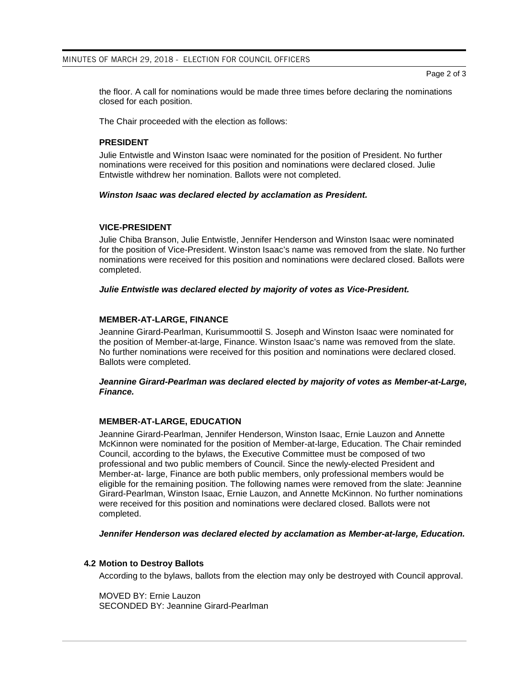Page 2 of 3

the floor. A call for nominations would be made three times before declaring the nominations closed for each position.

The Chair proceeded with the election as follows:

## **PRESIDENT**

Julie Entwistle and Winston Isaac were nominated for the position of President. No further nominations were received for this position and nominations were declared closed. Julie Entwistle withdrew her nomination. Ballots were not completed.

#### *Winston Isaac was declared elected by acclamation as President.*

## **VICE-PRESIDENT**

Julie Chiba Branson, Julie Entwistle, Jennifer Henderson and Winston Isaac were nominated for the position of Vice-President. Winston Isaac's name was removed from the slate. No further nominations were received for this position and nominations were declared closed. Ballots were completed.

#### *Julie Entwistle was declared elected by majority of votes as Vice-President.*

## **MEMBER-AT-LARGE, FINANCE**

Jeannine Girard-Pearlman, Kurisummoottil S. Joseph and Winston Isaac were nominated for the position of Member-at-large, Finance. Winston Isaac's name was removed from the slate. No further nominations were received for this position and nominations were declared closed. Ballots were completed.

## *Jeannine Girard-Pearlman was declared elected by majority of votes as Member-at-Large, Finance.*

## **MEMBER-AT-LARGE, EDUCATION**

Jeannine Girard-Pearlman, Jennifer Henderson, Winston Isaac, Ernie Lauzon and Annette McKinnon were nominated for the position of Member-at-large, Education. The Chair reminded Council, according to the bylaws, the Executive Committee must be composed of two professional and two public members of Council. Since the newly-elected President and Member-at- large, Finance are both public members, only professional members would be eligible for the remaining position. The following names were removed from the slate: Jeannine Girard-Pearlman, Winston Isaac, Ernie Lauzon, and Annette McKinnon. No further nominations were received for this position and nominations were declared closed. Ballots were not completed.

*Jennifer Henderson was declared elected by acclamation as Member-at-large, Education.* 

## **4.2 Motion to Destroy Ballots**

According to the bylaws, ballots from the election may only be destroyed with Council approval.

MOVED BY: Ernie Lauzon SECONDED BY: Jeannine Girard-Pearlman